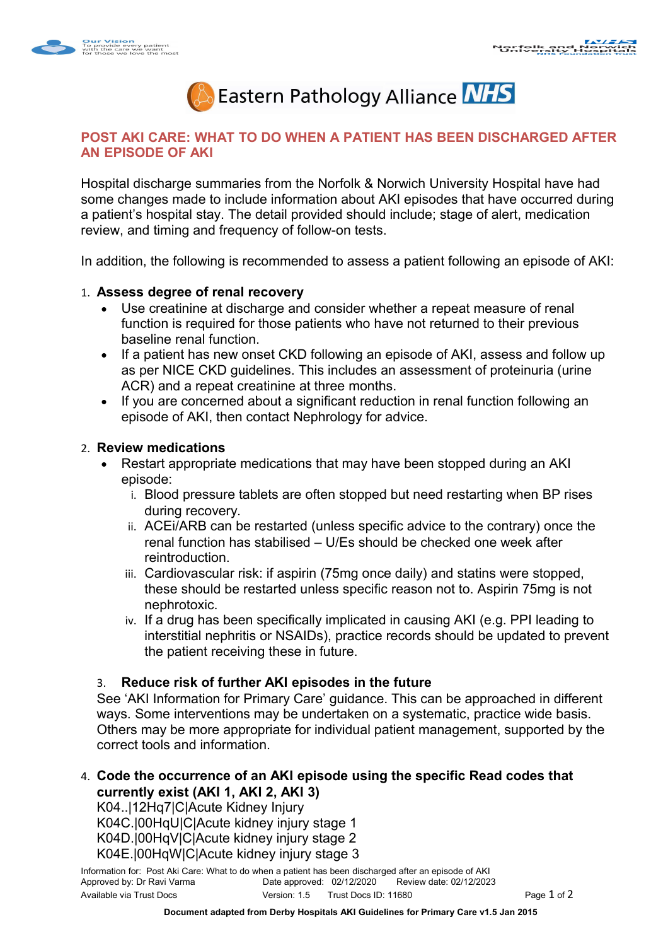



## **POST AKI CARE: WHAT TO DO WHEN A PATIENT HAS BEEN DISCHARGED AFTER AN EPISODE OF AKI**

Hospital discharge summaries from the Norfolk & Norwich University Hospital have had some changes made to include information about AKI episodes that have occurred during a patient's hospital stay. The detail provided should include; stage of alert, medication review, and timing and frequency of follow-on tests.

In addition, the following is recommended to assess a patient following an episode of AKI:

## 1. **Assess degree of renal recovery**

- Use creatinine at discharge and consider whether a repeat measure of renal function is required for those patients who have not returned to their previous baseline renal function.
- If a patient has new onset CKD following an episode of AKI, assess and follow up as per NICE CKD guidelines. This includes an assessment of proteinuria (urine ACR) and a repeat creatinine at three months.
- If you are concerned about a significant reduction in renal function following an episode of AKI, then contact Nephrology for advice.

## 2. **Review medications**

- Restart appropriate medications that may have been stopped during an AKI episode:
	- i. Blood pressure tablets are often stopped but need restarting when BP rises during recovery.
	- ii. ACEi/ARB can be restarted (unless specific advice to the contrary) once the renal function has stabilised – U/Es should be checked one week after reintroduction.
	- iii. Cardiovascular risk: if aspirin (75mg once daily) and statins were stopped, these should be restarted unless specific reason not to. Aspirin 75mg is not nephrotoxic.
	- iv. If a drug has been specifically implicated in causing AKI (e.g. PPI leading to interstitial nephritis or NSAIDs), practice records should be updated to prevent the patient receiving these in future.

## 3. **Reduce risk of further AKI episodes in the future**

See 'AKI Information for Primary Care' guidance. This can be approached in different ways. Some interventions may be undertaken on a systematic, practice wide basis. Others may be more appropriate for individual patient management, supported by the correct tools and information.

4. **Code the occurrence of an AKI episode using the specific Read codes that currently exist (AKI 1, AKI 2, AKI 3)**

K04..|12Hq7|C|Acute Kidney Injury K04C.|00HqU|C|Acute kidney injury stage 1 K04D.|00HqV|C|Acute kidney injury stage 2 K04E.|00HqW|C|Acute kidney injury stage 3

Information for: Post Aki Care: What to do when a patient has been discharged after an episode of AKI<br>Approved by: Dr Ravi Varma Date approved: 02/12/2020 Review date: 02/12/2020 Date approved: 02/12/2020 Review date: 02/12/2023 Available via Trust Docs **Version: 1.5** Trust Docs ID: 11680 **Page 1 of 2 Page 1 of 2**